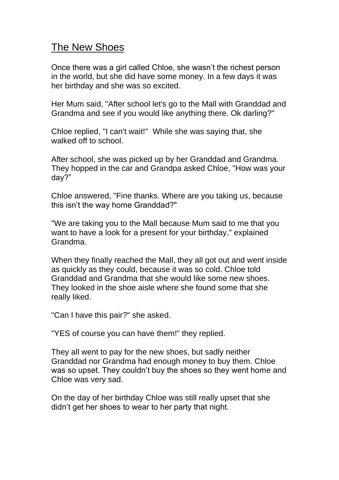## The New Shoes

Once there was a girl called Chloe, she wasn't the richest person in the world, but she did have some money. In a few days it was her birthday and she was so excited.

Her Mum said, "After school let's go to the Mall with Granddad and Grandma and see if you would like anything there. Ok darling?"

Chloe replied, "I can't wait!'' While she was saying that, she walked off to school.

After school, she was picked up by her Granddad and Grandma. They hopped in the car and Grandpa asked Chloe, "How was your day?"

Chloe answered, "Fine thanks. Where are you taking us, because this isn't the way home Granddad?"

"We are taking you to the Mall because Mum said to me that you want to have a look for a present for your birthday," explained Grandma.

When they finally reached the Mall, they all got out and went inside as quickly as they could, because it was so cold. Chloe told Granddad and Grandma that she would like some new shoes. They looked in the shoe aisle where she found some that she really liked.

"Can I have this pair?" she asked.

"YES of course you can have them!" they replied.

They all went to pay for the new shoes, but sadly neither Granddad nor Grandma had enough money to buy them. Chloe was so upset. They couldn't buy the shoes so they went home and Chloe was very sad.

On the day of her birthday Chloe was still really upset that she didn't get her shoes to wear to her party that night.